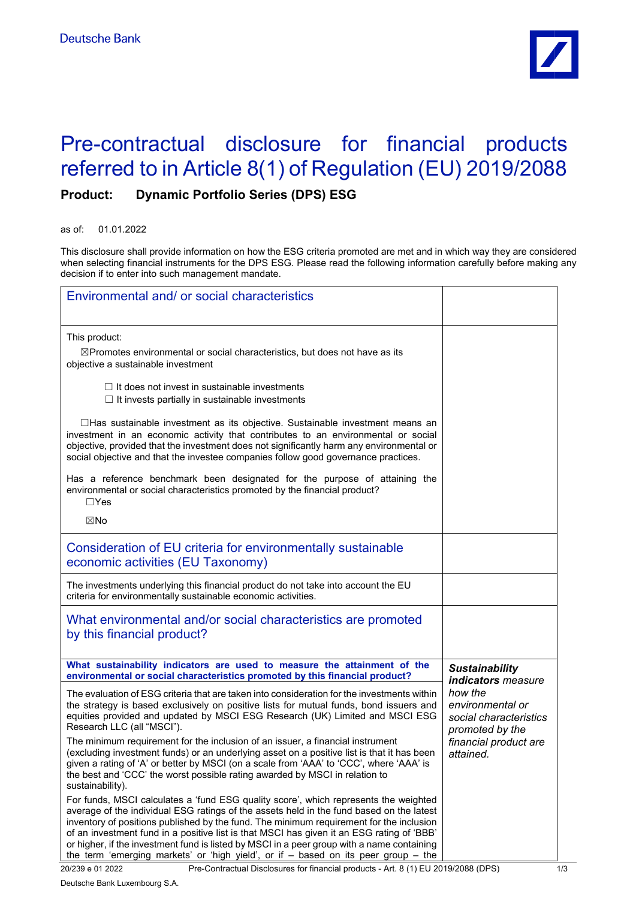

## Pre-contractual disclosure for financial products referred to in Article 8(1) of Regulation (EU) 2019/2088

## **Product: Dynamic Portfolio Series (DPS) ESG**

as of: 01.01.2022

This disclosure shall provide information on how the ESG criteria promoted are met and in which way they are considered when selecting financial instruments for the DPS ESG. Please read the following information carefully before making any decision if to enter into such management mandate.

| Environmental and/ or social characteristics                                                                                                                                                                                                                                                                                                                                                                                                                                                                                                                 |                                                                          |
|--------------------------------------------------------------------------------------------------------------------------------------------------------------------------------------------------------------------------------------------------------------------------------------------------------------------------------------------------------------------------------------------------------------------------------------------------------------------------------------------------------------------------------------------------------------|--------------------------------------------------------------------------|
| This product:<br>⊠Promotes environmental or social characteristics, but does not have as its<br>objective a sustainable investment                                                                                                                                                                                                                                                                                                                                                                                                                           |                                                                          |
| $\Box$ It does not invest in sustainable investments<br>$\Box$ It invests partially in sustainable investments                                                                                                                                                                                                                                                                                                                                                                                                                                               |                                                                          |
| $\Box$ Has sustainable investment as its objective. Sustainable investment means an<br>investment in an economic activity that contributes to an environmental or social<br>objective, provided that the investment does not significantly harm any environmental or<br>social objective and that the investee companies follow good governance practices.                                                                                                                                                                                                   |                                                                          |
| Has a reference benchmark been designated for the purpose of attaining the<br>environmental or social characteristics promoted by the financial product?<br>$\Box$ Yes                                                                                                                                                                                                                                                                                                                                                                                       |                                                                          |
| ⊠No                                                                                                                                                                                                                                                                                                                                                                                                                                                                                                                                                          |                                                                          |
| Consideration of EU criteria for environmentally sustainable<br>economic activities (EU Taxonomy)                                                                                                                                                                                                                                                                                                                                                                                                                                                            |                                                                          |
| The investments underlying this financial product do not take into account the EU<br>criteria for environmentally sustainable economic activities.                                                                                                                                                                                                                                                                                                                                                                                                           |                                                                          |
| What environmental and/or social characteristics are promoted<br>by this financial product?                                                                                                                                                                                                                                                                                                                                                                                                                                                                  |                                                                          |
| What sustainability indicators are used to measure the attainment of the<br>environmental or social characteristics promoted by this financial product?                                                                                                                                                                                                                                                                                                                                                                                                      | <b>Sustainability</b><br><i>indicators measure</i>                       |
| The evaluation of ESG criteria that are taken into consideration for the investments within<br>the strategy is based exclusively on positive lists for mutual funds, bond issuers and<br>equities provided and updated by MSCI ESG Research (UK) Limited and MSCI ESG<br>Research LLC (all "MSCI").                                                                                                                                                                                                                                                          | how the<br>environmental or<br>social characteristics<br>promoted by the |
| The minimum requirement for the inclusion of an issuer, a financial instrument<br>(excluding investment funds) or an underlying asset on a positive list is that it has been<br>given a rating of 'A' or better by MSCI (on a scale from 'AAA' to 'CCC', where 'AAA' is<br>the best and 'CCC' the worst possible rating awarded by MSCI in relation to<br>sustainability).                                                                                                                                                                                   | financial product are<br>attained.                                       |
| For funds, MSCI calculates a 'fund ESG quality score', which represents the weighted<br>average of the individual ESG ratings of the assets held in the fund based on the latest<br>inventory of positions published by the fund. The minimum requirement for the inclusion<br>of an investment fund in a positive list is that MSCI has given it an ESG rating of 'BBB'<br>or higher, if the investment fund is listed by MSCI in a peer group with a name containing<br>the term 'emerging markets' or 'high yield', or if - based on its peer group - the |                                                                          |

Deutsche Bank Luxembourg S.A.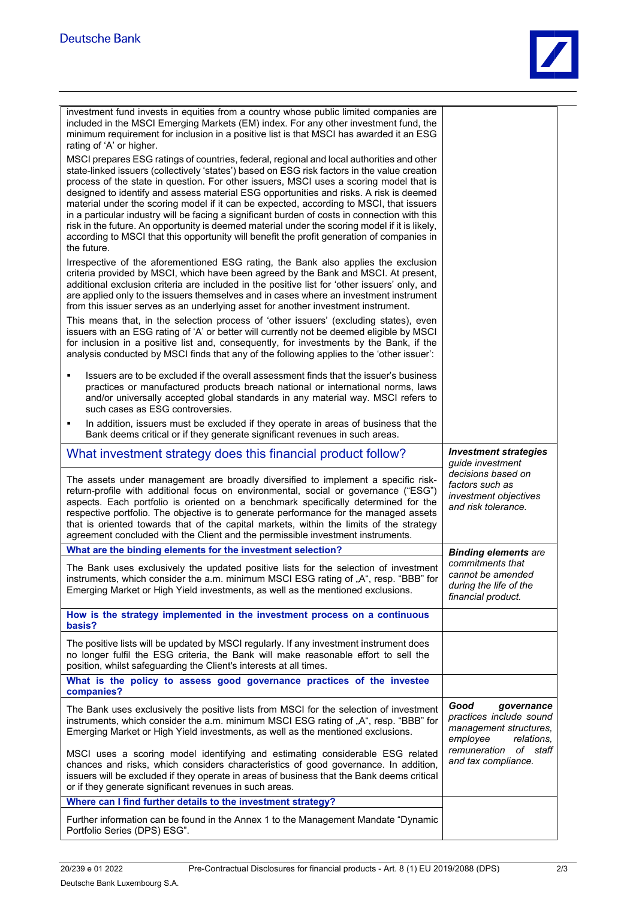| investment fund invests in equities from a country whose public limited companies are<br>included in the MSCI Emerging Markets (EM) index. For any other investment fund, the<br>minimum requirement for inclusion in a positive list is that MSCI has awarded it an ESG<br>rating of 'A' or higher.                                                                                                                                                                                                                                                                                                                                                                                                                                                                                     |                                                                                                   |
|------------------------------------------------------------------------------------------------------------------------------------------------------------------------------------------------------------------------------------------------------------------------------------------------------------------------------------------------------------------------------------------------------------------------------------------------------------------------------------------------------------------------------------------------------------------------------------------------------------------------------------------------------------------------------------------------------------------------------------------------------------------------------------------|---------------------------------------------------------------------------------------------------|
| MSCI prepares ESG ratings of countries, federal, regional and local authorities and other<br>state-linked issuers (collectively 'states') based on ESG risk factors in the value creation<br>process of the state in question. For other issuers, MSCI uses a scoring model that is<br>designed to identify and assess material ESG opportunities and risks. A risk is deemed<br>material under the scoring model if it can be expected, according to MSCI, that issuers<br>in a particular industry will be facing a significant burden of costs in connection with this<br>risk in the future. An opportunity is deemed material under the scoring model if it is likely,<br>according to MSCI that this opportunity will benefit the profit generation of companies in<br>the future. |                                                                                                   |
| Irrespective of the aforementioned ESG rating, the Bank also applies the exclusion<br>criteria provided by MSCI, which have been agreed by the Bank and MSCI. At present,<br>additional exclusion criteria are included in the positive list for 'other issuers' only, and<br>are applied only to the issuers themselves and in cases where an investment instrument<br>from this issuer serves as an underlying asset for another investment instrument.                                                                                                                                                                                                                                                                                                                                |                                                                                                   |
| This means that, in the selection process of 'other issuers' (excluding states), even<br>issuers with an ESG rating of 'A' or better will currently not be deemed eligible by MSCI<br>for inclusion in a positive list and, consequently, for investments by the Bank, if the<br>analysis conducted by MSCI finds that any of the following applies to the 'other issuer':                                                                                                                                                                                                                                                                                                                                                                                                               |                                                                                                   |
| Issuers are to be excluded if the overall assessment finds that the issuer's business<br>٠<br>practices or manufactured products breach national or international norms, laws<br>and/or universally accepted global standards in any material way. MSCI refers to<br>such cases as ESG controversies.                                                                                                                                                                                                                                                                                                                                                                                                                                                                                    |                                                                                                   |
| In addition, issuers must be excluded if they operate in areas of business that the<br>٠<br>Bank deems critical or if they generate significant revenues in such areas.                                                                                                                                                                                                                                                                                                                                                                                                                                                                                                                                                                                                                  |                                                                                                   |
| What investment strategy does this financial product follow?                                                                                                                                                                                                                                                                                                                                                                                                                                                                                                                                                                                                                                                                                                                             | <b>Investment strategies</b><br>quide investment                                                  |
| The assets under management are broadly diversified to implement a specific risk-<br>return-profile with additional focus on environmental, social or governance ("ESG")<br>aspects. Each portfolio is oriented on a benchmark specifically determined for the<br>respective portfolio. The objective is to generate performance for the managed assets<br>that is oriented towards that of the capital markets, within the limits of the strategy<br>agreement concluded with the Client and the permissible investment instruments.                                                                                                                                                                                                                                                    | decisions based on<br>factors such as<br>investment objectives<br>and risk tolerance.             |
| What are the binding elements for the investment selection?                                                                                                                                                                                                                                                                                                                                                                                                                                                                                                                                                                                                                                                                                                                              | <b>Binding elements are</b>                                                                       |
| The Bank uses exclusively the updated positive lists for the selection of investment<br>instruments, which consider the a.m. minimum MSCI ESG rating of "A", resp. "BBB" for<br>Emerging Market or High Yield investments, as well as the mentioned exclusions.                                                                                                                                                                                                                                                                                                                                                                                                                                                                                                                          | commitments that<br>cannot be amended<br>during the life of the<br>financial product.             |
| How is the strategy implemented in the investment process on a continuous<br>basis?                                                                                                                                                                                                                                                                                                                                                                                                                                                                                                                                                                                                                                                                                                      |                                                                                                   |
| The positive lists will be updated by MSCI regularly. If any investment instrument does<br>no longer fulfil the ESG criteria, the Bank will make reasonable effort to sell the                                                                                                                                                                                                                                                                                                                                                                                                                                                                                                                                                                                                           |                                                                                                   |
| position, whilst safeguarding the Client's interests at all times.                                                                                                                                                                                                                                                                                                                                                                                                                                                                                                                                                                                                                                                                                                                       |                                                                                                   |
| What is the policy to assess good governance practices of the investee<br>companies?                                                                                                                                                                                                                                                                                                                                                                                                                                                                                                                                                                                                                                                                                                     |                                                                                                   |
| The Bank uses exclusively the positive lists from MSCI for the selection of investment<br>instruments, which consider the a.m. minimum MSCI ESG rating of "A", resp. "BBB" for<br>Emerging Market or High Yield investments, as well as the mentioned exclusions.                                                                                                                                                                                                                                                                                                                                                                                                                                                                                                                        | Good<br>governance<br>practices include sound<br>management structures,<br>employee<br>relations. |
| MSCI uses a scoring model identifying and estimating considerable ESG related<br>chances and risks, which considers characteristics of good governance. In addition,<br>issuers will be excluded if they operate in areas of business that the Bank deems critical<br>or if they generate significant revenues in such areas.                                                                                                                                                                                                                                                                                                                                                                                                                                                            | remuneration<br>of staff<br>and tax compliance.                                                   |
| Where can I find further details to the investment strategy?                                                                                                                                                                                                                                                                                                                                                                                                                                                                                                                                                                                                                                                                                                                             |                                                                                                   |